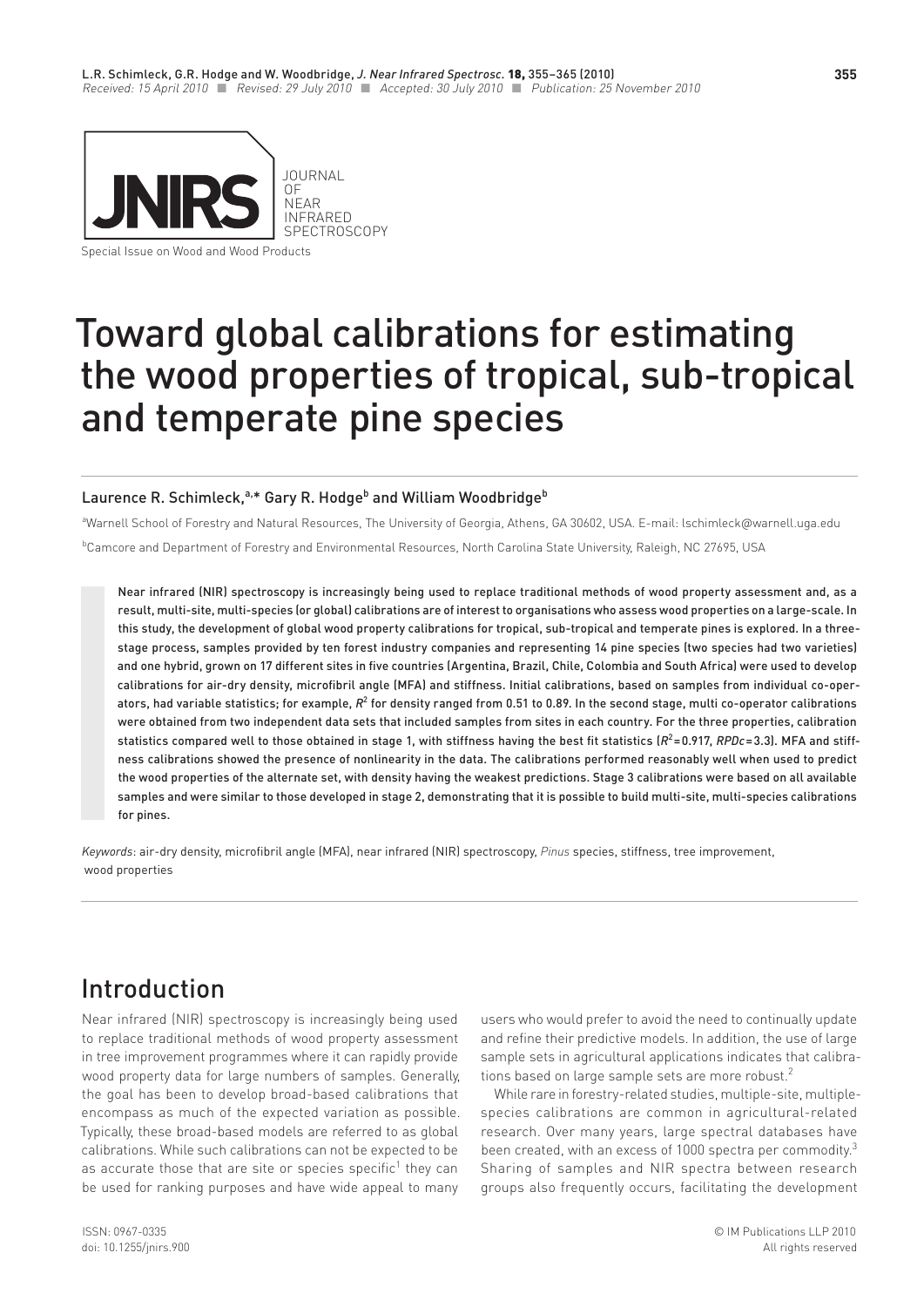

Special Issue on Wood and Wood Products

# Toward global calibrations for estimating the wood properties of tropical, sub-tropical and temperate pine species

### Laurence R. Schimleck,<sup>a,</sup>\* Gary R. Hodge<sup>b</sup> and William Woodbridge<sup>b</sup>

a Warnell School of Forestry and Natural Resources, The University of Georgia, Athens, GA 30602, USA. E-mail: lschimleck@warnell.uga.edu b Camcore and Department of Forestry and Environmental Resources, North Carolina State University, Raleigh, NC 27695, USA

Near infrared (NIR) spectroscopy is increasingly being used to replace traditional methods of wood property assessment and, as a result, multi-site, multi-species (or global) calibrations are of interest to organisations who assess wood properties on a large-scale. In this study, the development of global wood property calibrations for tropical, sub-tropical and temperate pines is explored. In a threestage process, samples provided by ten forest industry companies and representing 14 pine species (two species had two varieties) and one hybrid, grown on 17 different sites in five countries (Argentina, Brazil, Chile, Colombia and South Africa) were used to develop calibrations for air-dry density, microfibril angle (MFA) and stiffness. Initial calibrations, based on samples from individual co-operators, had variable statistics; for example,  $R^2$  for density ranged from 0.51 to 0.89. In the second stage, multi co-operator calibrations were obtained from two independent data sets that included samples from sites in each country. For the three properties, calibration statistics compared well to those obtained in stage 1, with stiffness having the best fit statistics ( $R^2 = 0.917$ ,  $RPDc = 3.3$ ). MFA and stiffness calibrations showed the presence of nonlinearity in the data. The calibrations performed reasonably well when used to predict the wood properties of the alternate set, with density having the weakest predictions. Stage 3 calibrations were based on all available samples and were similar to those developed in stage 2, demonstrating that it is possible to build multi-site, multi-species calibrations for pines.

*Keywords*: air-dry density, microfibril angle (MFA), near infrared (NIR) spectroscopy, *Pinus* species, stiffness, tree improvement, wood properties

# Introduction

Near infrared (NIR) spectroscopy is increasingly being used to replace traditional methods of wood property assessment in tree improvement programmes where it can rapidly provide wood property data for large numbers of samples. Generally, the goal has been to develop broad-based calibrations that encompass as much of the expected variation as possible. Typically, these broad-based models are referred to as global calibrations. While such calibrations can not be expected to be as accurate those that are site or species specific<sup>1</sup> they can be used for ranking purposes and have wide appeal to many

users who would prefer to avoid the need to continually update and refine their predictive models. In addition, the use of large sample sets in agricultural applications indicates that calibrations based on large sample sets are more robust.<sup>2</sup>

While rare in forestry-related studies, multiple-site, multiplespecies calibrations are common in agricultural-related research. Over many years, large spectral databases have been created, with an excess of 1000 spectra per commodity.<sup>3</sup> Sharing of samples and NIR spectra between research groups also frequently occurs, facilitating the development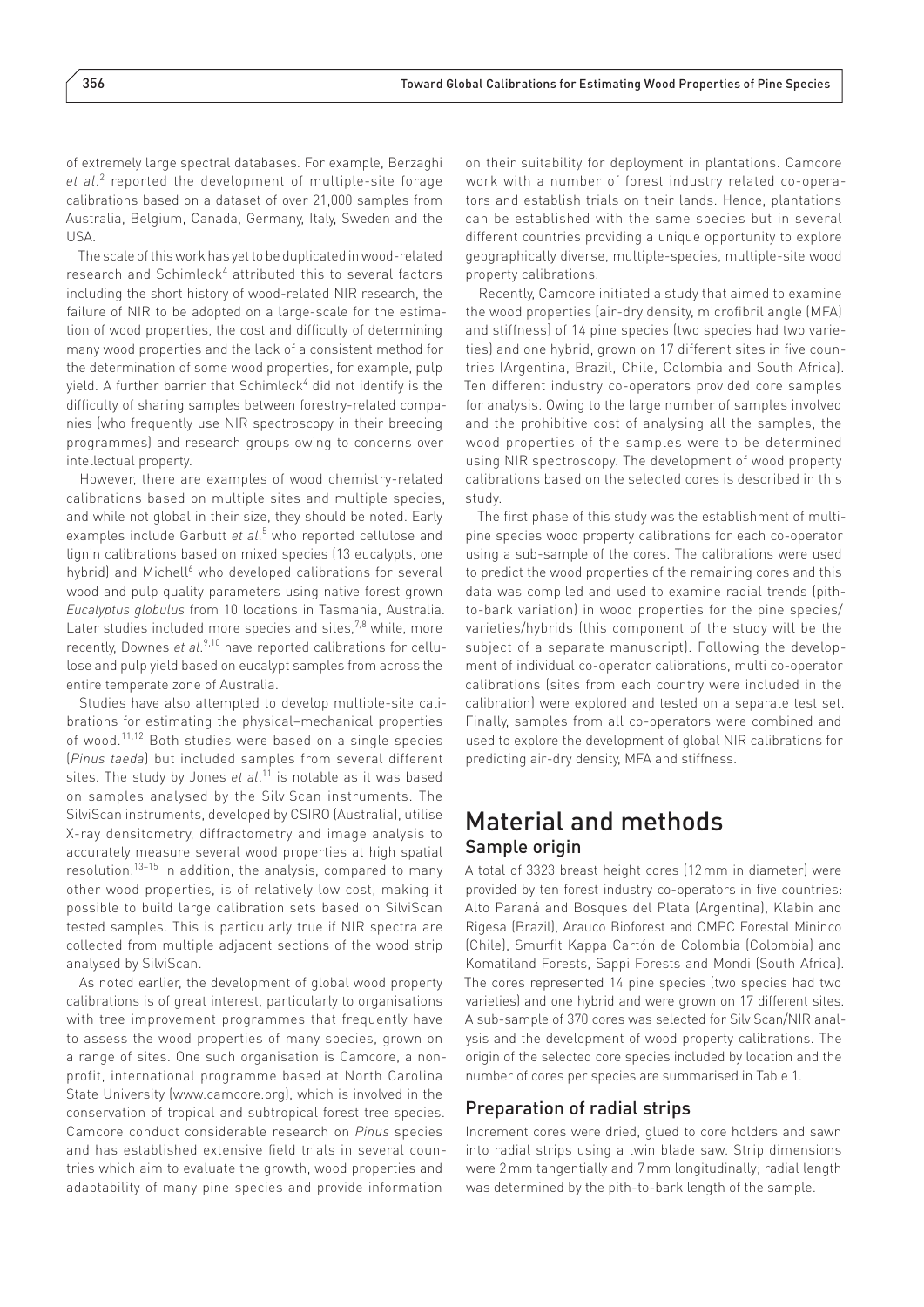of extremely large spectral databases. For example, Berzaghi et al.<sup>2</sup> reported the development of multiple-site forage calibrations based on a dataset of over 21,000 samples from Australia, Belgium, Canada, Germany, Italy, Sweden and the  $IIS<sub>Δ</sub>$ 

The scale of this work has yet to be duplicated in wood-related research and Schimleck<sup>4</sup> attributed this to several factors including the short history of wood-related NIR research, the failure of NIR to be adopted on a large-scale for the estimation of wood properties, the cost and difficulty of determining many wood properties and the lack of a consistent method for the determination of some wood properties, for example, pulp yield. A further barrier that Schimleck<sup>4</sup> did not identify is the difficulty of sharing samples between forestry-related companies (who frequently use NIR spectroscopy in their breeding programmes) and research groups owing to concerns over intellectual property.

However, there are examples of wood chemistry-related calibrations based on multiple sites and multiple species, and while not global in their size, they should be noted. Early examples include Garbutt et al.<sup>5</sup> who reported cellulose and lignin calibrations based on mixed species (13 eucalypts, one hybrid) and Michell<sup>6</sup> who developed calibrations for several wood and pulp quality parameters using native forest grown *Eucalyptus globulus* from 10 locations in Tasmania, Australia. Later studies included more species and sites, $7,8$  while, more recently, Downes et al.<sup>9,10</sup> have reported calibrations for cellulose and pulp yield based on eucalypt samples from across the entire temperate zone of Australia.

Studies have also attempted to develop multiple-site calibrations for estimating the physical–mechanical properties of wood.11,12 Both studies were based on a single species (*Pinus taeda*) but included samples from several different sites. The study by Jones *et al*. 11 is notable as it was based on samples analysed by the SilviScan instruments. The SilviScan instruments, developed by CSIRO (Australia), utilise X-ray densitometry, diffractometry and image analysis to accurately measure several wood properties at high spatial resolution.13–15 In addition, the analysis, compared to many other wood properties, is of relatively low cost, making it possible to build large calibration sets based on SilviScan tested samples. This is particularly true if NIR spectra are collected from multiple adjacent sections of the wood strip analysed by SilviScan.

As noted earlier, the development of global wood property calibrations is of great interest, particularly to organisations with tree improvement programmes that frequently have to assess the wood properties of many species, grown on a range of sites. One such organisation is Camcore, a nonprofit, international programme based at North Carolina State University (www.camcore.org), which is involved in the conservation of tropical and subtropical forest tree species. Camcore conduct considerable research on *Pinus* species and has established extensive field trials in several countries which aim to evaluate the growth, wood properties and adaptability of many pine species and provide information

on their suitability for deployment in plantations. Camcore work with a number of forest industry related co-operators and establish trials on their lands. Hence, plantations can be established with the same species but in several different countries providing a unique opportunity to explore geographically diverse, multiple-species, multiple-site wood property calibrations.

Recently, Camcore initiated a study that aimed to examine the wood properties [air-dry density, microfibril angle (MFA) and stiffness] of 14 pine species (two species had two varieties) and one hybrid, grown on 17 different sites in five countries (Argentina, Brazil, Chile, Colombia and South Africa). Ten different industry co-operators provided core samples for analysis. Owing to the large number of samples involved and the prohibitive cost of analysing all the samples, the wood properties of the samples were to be determined using NIR spectroscopy. The development of wood property calibrations based on the selected cores is described in this study.

The first phase of this study was the establishment of multipine species wood property calibrations for each co-operator using a sub-sample of the cores. The calibrations were used to predict the wood properties of the remaining cores and this data was compiled and used to examine radial trends (pithto-bark variation) in wood properties for the pine species/ varieties/hybrids (this component of the study will be the subject of a separate manuscript). Following the development of individual co-operator calibrations, multi co-operator calibrations (sites from each country were included in the calibration) were explored and tested on a separate test set. Finally, samples from all co-operators were combined and used to explore the development of global NIR calibrations for predicting air-dry density, MFA and stiffness.

### Material and methods Sample origin

A total of 3323 breast height cores (12mm in diameter) were provided by ten forest industry co-operators in five countries: Alto Paraná and Bosques del Plata (Argentina), Klabin and Rigesa (Brazil), Arauco Bioforest and CMPC Forestal Mininco (Chile), Smurfit Kappa Cartón de Colombia (Colombia) and Komatiland Forests, Sappi Forests and Mondi (South Africa). The cores represented 14 pine species (two species had two varieties) and one hybrid and were grown on 17 different sites. A sub-sample of 370 cores was selected for SilviScan/NIR analysis and the development of wood property calibrations. The origin of the selected core species included by location and the number of cores per species are summarised in Table 1.

### Preparation of radial strips

Increment cores were dried, glued to core holders and sawn into radial strips using a twin blade saw. Strip dimensions were 2mm tangentially and 7mm longitudinally; radial length was determined by the pith-to-bark length of the sample.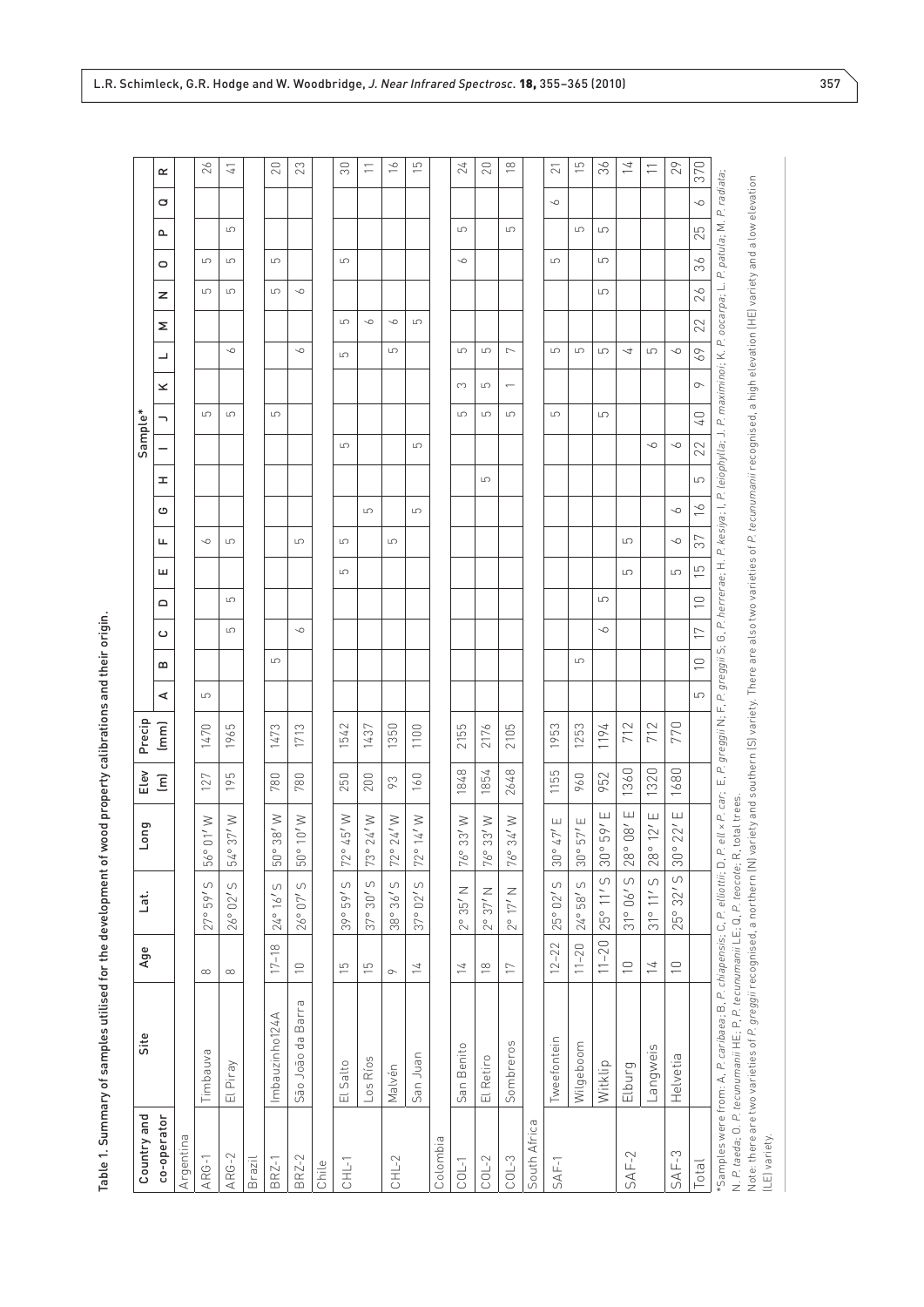| ١                         |
|---------------------------|
|                           |
|                           |
|                           |
| - IID DIED DIED DIED DIED |
|                           |
|                           |
|                           |
|                           |
|                           |
|                           |
|                           |
|                           |
|                           |
|                           |
|                           |
|                           |
|                           |
|                           |
|                           |
|                           |
|                           |
|                           |
|                           |
| ant of wood property car  |
|                           |
|                           |
|                           |
|                           |
|                           |
|                           |
|                           |
|                           |
|                           |
|                           |
|                           |
|                           |
|                           |
|                           |
|                           |
|                           |
|                           |
|                           |
|                           |
|                           |
|                           |
|                           |
|                           |
| $\vdots$                  |
|                           |
|                           |
|                           |
|                           |
|                           |
| is 446.                   |
|                           |
|                           |
|                           |
|                           |
|                           |
|                           |
|                           |
|                           |
|                           |
|                           |
|                           |
|                           |
|                           |
|                           |
|                           |
|                           |
|                           |
|                           |
|                           |
|                           |
|                           |
|                           |
|                           |
|                           |
|                           |
|                           |
|                           |
|                           |
|                           |
|                           |
|                           |
| ,<br>3<br>:               |
|                           |
|                           |
|                           |
|                           |
|                           |
| Cummmanus of came         |
|                           |
|                           |
|                           |
|                           |
| Table 1.5                 |

| Country and   | Site                                                                                                                                                                                                               | Age             | iat.                    | puo                                 | Elev                 | Precip                                                                                                                                         |   |             |                                            |                     |            |                |   | Sample*    |            |                          |        |            |        |              |        |                |
|---------------|--------------------------------------------------------------------------------------------------------------------------------------------------------------------------------------------------------------------|-----------------|-------------------------|-------------------------------------|----------------------|------------------------------------------------------------------------------------------------------------------------------------------------|---|-------------|--------------------------------------------|---------------------|------------|----------------|---|------------|------------|--------------------------|--------|------------|--------|--------------|--------|----------------|
| co-operator   |                                                                                                                                                                                                                    |                 |                         |                                     | $\widehat{\epsilon}$ | [mm]                                                                                                                                           | ⋖ | m           | ≏<br>ပ                                     | ш                   | ட          | ပ              | I |            | ┑          | $\leq$                   | ┙      | Σ          | z      | ௳<br>$\circ$ | ය      | œ              |
| Argentina     |                                                                                                                                                                                                                    |                 |                         |                                     |                      |                                                                                                                                                |   |             |                                            |                     |            |                |   |            |            |                          |        |            |        |              |        |                |
| ARG-1         | Timbauva                                                                                                                                                                                                           | $\infty$        | S<br>27°59'             | $01'$ W<br>-99                      | 127                  | 1470                                                                                                                                           | 5 |             |                                            |                     | $\sim$     |                |   |            | $\Box$     |                          |        |            | $\Box$ | $\Box$       |        | 26             |
| $ARG-2$       | El Piray                                                                                                                                                                                                           | $\infty$        | S<br>$26^{\circ}$ 02'   | 54° 37' W                           | 195                  | 1965                                                                                                                                           |   |             | 5                                          | $\sqrt{2}$          | 5          |                |   |            | 5          |                          | ╰      |            | 5      | 5            | 5      | 17             |
| Brazil        |                                                                                                                                                                                                                    |                 |                         |                                     |                      |                                                                                                                                                |   |             |                                            |                     |            |                |   |            |            |                          |        |            |        |              |        |                |
| $BRZ-1$       | Imbauzinho124A                                                                                                                                                                                                     | $17 - 18$       | $24^{\circ}$ 16' S      | 50° 38' W                           | 780                  | 1473                                                                                                                                           |   | 5           |                                            |                     |            |                |   |            | 5          |                          |        |            | 5      | S            |        | 20             |
| $BRZ-2$       | São João da Barra                                                                                                                                                                                                  | $\supseteq$     | $26^{\circ}$ 07' S      | $_{\odot}$ $\times$<br>$50^{\circ}$ | 780                  | 1713                                                                                                                                           |   |             | $\sim$                                     |                     | $\sqrt{2}$ |                |   |            |            |                          | $\sim$ |            | ó      |              |        | 23             |
| Chile         |                                                                                                                                                                                                                    |                 |                         |                                     |                      |                                                                                                                                                |   |             |                                            |                     |            |                |   |            |            |                          |        |            |        |              |        |                |
| CHL-1         | El Salto                                                                                                                                                                                                           | $\overline{5}$  | S<br>39°59'             | $\frac{1}{2}$<br>$72^{\circ}$       | 250                  | 542                                                                                                                                            |   |             |                                            | 5                   | $\Box$     |                |   | $\sqrt{2}$ |            |                          | $\Box$ | $\sqrt{2}$ |        | $\Box$       |        | 30             |
|               | Los Ríos                                                                                                                                                                                                           | $\overline{5}$  | 37° 30' S               | 24' W<br>73°                        | 200                  | 1437                                                                                                                                           |   |             |                                            |                     |            | $\Box$         |   |            |            |                          |        | ç          |        |              |        | $\equiv$       |
| $CHL-2$       | Malvén                                                                                                                                                                                                             | $\circ$         | 38°36'5                 | 72° 24' W                           | 93                   | 1350                                                                                                                                           |   |             |                                            |                     | 5          |                |   |            |            |                          | 5      | 9          |        |              |        | $\geq$         |
|               | San Juan                                                                                                                                                                                                           | $\overline{14}$ | S<br>$37^{\circ}$ $02'$ | $\mu'$ /v<br>$72^{\circ}$           | 160                  | 1100                                                                                                                                           |   |             |                                            |                     |            | $\sqrt{2}$     |   | $\sqrt{2}$ |            |                          |        | $\sqrt{2}$ |        |              |        | $\overline{5}$ |
| Colombia      |                                                                                                                                                                                                                    |                 |                         |                                     |                      |                                                                                                                                                |   |             |                                            |                     |            |                |   |            |            |                          |        |            |        |              |        |                |
| $COL-1$       | San Benito                                                                                                                                                                                                         | $\geq$          | $2^{\circ}$ 35' N       | 33'W<br>Ω,<br>76°                   | 1848                 | 2155                                                                                                                                           |   |             |                                            |                     |            |                |   |            | 5          | S                        | 5      |            |        | $\sim$       | 5      | 24             |
| $COL-2$       | El Retiro                                                                                                                                                                                                          | $\frac{8}{2}$   | $2°37'$ N               | $33'$ W<br>76°                      | 1854                 | 2176                                                                                                                                           |   |             |                                            |                     |            |                | 5 |            | 5          | $\Box$                   | 5      |            |        |              |        | 20             |
| $COL-3$       | Sombreros                                                                                                                                                                                                          | $\Box$          | $2^{\circ}$ 17' N       | 76° 34' W                           | 2648                 | 2105                                                                                                                                           |   |             |                                            |                     |            |                |   |            | 5          | $\overline{\phantom{0}}$ | $\sim$ |            |        |              | 5      | $\approx$      |
| South Africa  |                                                                                                                                                                                                                    |                 |                         |                                     |                      |                                                                                                                                                |   |             |                                            |                     |            |                |   |            |            |                          |        |            |        |              |        |                |
| $SAF-1$       | Tweefontein                                                                                                                                                                                                        | $12 - 22$       | 25° 02' S               | Ш<br>$71$<br>$30^{\circ}$           | 55<br>$\equiv$       | 1953                                                                                                                                           |   |             |                                            |                     |            |                |   |            | 5          |                          | 5      |            |        | 5            | ╰      | ಸ              |
|               | Wilgeboom                                                                                                                                                                                                          | $11 - 20$       | $24^{\circ}58'$ S       | ш<br>$30^{\circ}$ 57'               | 960                  | 1253                                                                                                                                           |   | 5           |                                            |                     |            |                |   |            |            |                          | 5      |            |        |              | 5      | $\overline{5}$ |
|               | Witklip                                                                                                                                                                                                            | $11 - 20$       | 25° 11' S               | Ш<br>169<br>$30^{\circ}$            | 952                  | 1194                                                                                                                                           |   |             | 9                                          | $\Box$              |            |                |   |            | $\Box$     |                          | $\Box$ |            | $\Box$ | $\Box$       | 5      | 36             |
| $SAF-2$       | Elburg                                                                                                                                                                                                             | $\subseteq$     | 31°06'5                 | ш<br>$\overline{8}$<br>$28^{\circ}$ | 1360                 | 712                                                                                                                                            |   |             |                                            | $\Box$              | $\Box$     |                |   |            |            |                          | ᅿ      |            |        |              |        | $\overline{1}$ |
|               | Langweis                                                                                                                                                                                                           | $\overline{1}$  | 31° 11'5                | Ш<br>12'<br>$28^{\circ}$            | 1320                 | 712                                                                                                                                            |   |             |                                            |                     |            |                |   | 9          |            |                          | 5      |            |        |              |        | $\equiv$       |
| $SAF-3$       | Helvetia                                                                                                                                                                                                           | $\subseteq$     | S<br>25° 32'            | Ш<br>22'<br>$30^{\circ}$            | 1680                 | 770                                                                                                                                            |   |             |                                            | 5                   | $\sim$     | $\sim$         |   | 6          |            |                          | $\sim$ |            |        |              |        | 29             |
| Total         |                                                                                                                                                                                                                    |                 |                         |                                     |                      |                                                                                                                                                | 5 | $\subseteq$ | $\overline{\phantom{0}}$<br>$\overline{1}$ | 5<br>$\overline{ }$ | 37         | $\frac{9}{10}$ | 5 | 22         | $\sqrt{4}$ | $\circ$                  | 69     | 22         | 26     | 25<br>36     | $\sim$ | 370            |
|               | *Samples were from: A, P. caribaea; B, P. chiapensis; C, P. elliottii; D, P.                                                                                                                                       |                 |                         | ell x P. car;                       |                      | E, P. greggii N, F, P. greggii S; G, P. herrerae; H. P. kesiya; I, P. leiophylla; J. P. maximinoi; K. P. oocarpa; L. P. patula; M. P. radiata; |   |             |                                            |                     |            |                |   |            |            |                          |        |            |        |              |        |                |
|               | N. P. taeda; O. P. tecunumanii HE; P, P. tecunumanii LE; Q, P. teocote; R, total trees                                                                                                                             |                 |                         |                                     |                      |                                                                                                                                                |   |             |                                            |                     |            |                |   |            |            |                          |        |            |        |              |        |                |
| (LE) variety. | Note: there are two varieties of <i>P. greggii</i> recognised, a northern (N) variety variety. There are also two varieties of <i>P. tecunumanii</i> recognised, a high elevation (HE) variety and a low elevation |                 |                         |                                     |                      |                                                                                                                                                |   |             |                                            |                     |            |                |   |            |            |                          |        |            |        |              |        |                |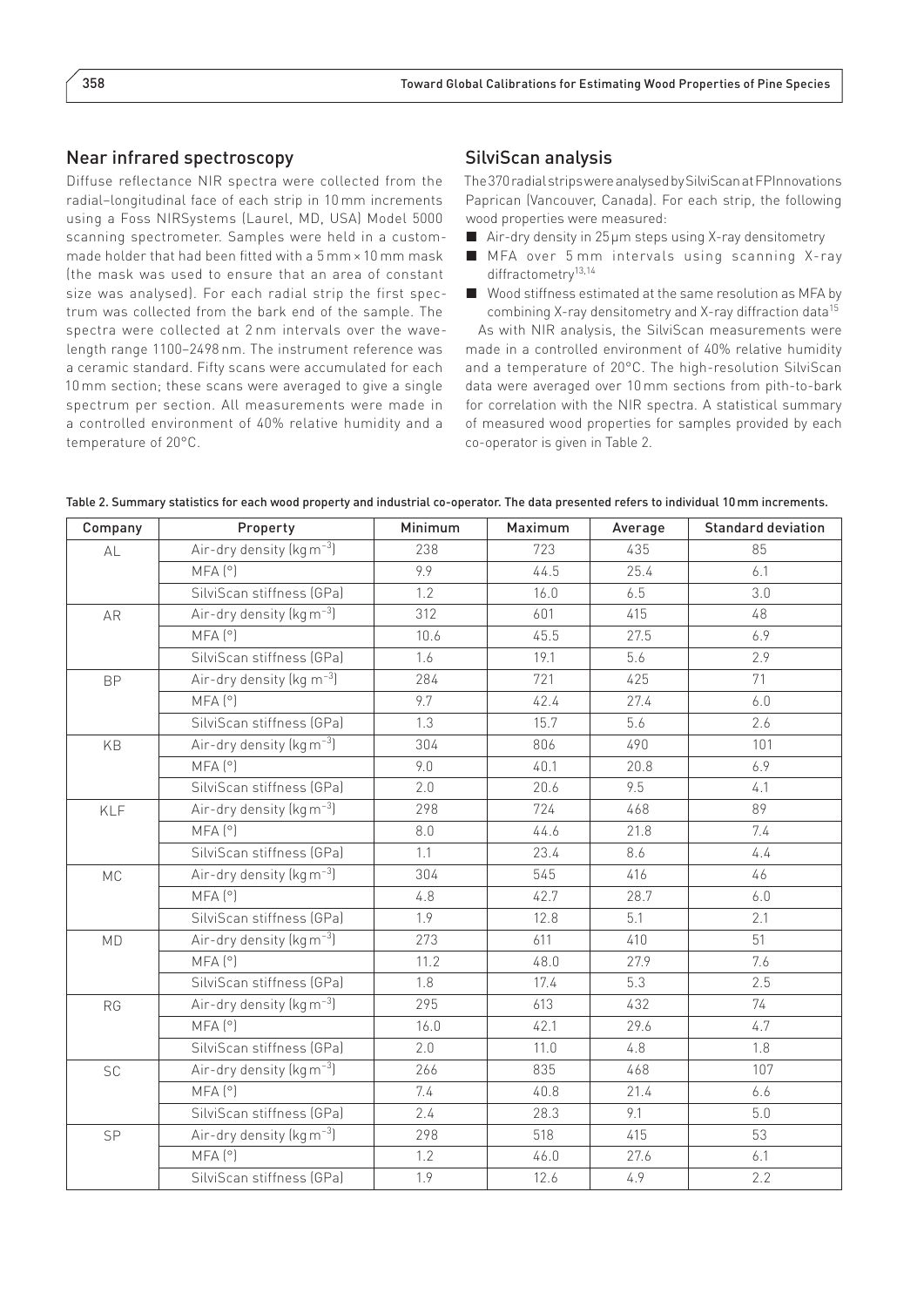### Near infrared spectroscopy

Diffuse reflectance NIR spectra were collected from the radial–longitudinal face of each strip in 10 mm increments using a Foss NIRSystems (Laurel, MD, USA) Model 5000 scanning spectrometer. Samples were held in a custommade holder that had been fitted with a 5 mm × 10 mm mask (the mask was used to ensure that an area of constant size was analysed). For each radial strip the first spectrum was collected from the bark end of the sample. The spectra were collected at 2 nm intervals over the wavelength range 1100–2498 nm. The instrument reference was a ceramic standard. Fifty scans were accumulated for each 10 mm section; these scans were averaged to give a single spectrum per section. All measurements were made in a controlled environment of 40% relative humidity and a temperature of 20°C.

### SilviScan analysis

The 370 radial strips were analysed by SilviScan at FPInnovations Paprican (Vancouver, Canada). For each strip, the following wood properties were measured:

- Air-dry density in 25 µm steps using X-ray densitometry
- MFA over 5 mm intervals using scanning X-ray diffractometry<sup>13,14</sup>
- Wood stiffness estimated at the same resolution as MFA by combining X-ray densitometry and X-ray diffraction data<sup>15</sup>

As with NIR analysis, the SilviScan measurements were made in a controlled environment of 40% relative humidity and a temperature of 20°C. The high-resolution SilviScan data were averaged over 10 mm sections from pith-to-bark for correlation with the NIR spectra. A statistical summary of measured wood properties for samples provided by each co-operator is given in Table 2.

| Company   | Property                                                | Minimum | Maximum | Average | <b>Standard deviation</b> |
|-----------|---------------------------------------------------------|---------|---------|---------|---------------------------|
| AL        | Air-dry density $\left[\text{kg}\,\text{m}^{-3}\right]$ | 238     | 723     | 435     | 85                        |
|           | $MFA$ $(°)$                                             | 9.9     | 44.5    | 25.4    | 6.1                       |
|           | SilviScan stiffness (GPa)                               | 1.2     | 16.0    | 6.5     | 3.0                       |
| AR        | Air-dry density $\left[\text{kg}\,\text{m}^{-3}\right]$ | 312     | 601     | 415     | 48                        |
|           | MFA (°)                                                 | 10.6    | 45.5    | 27.5    | 6.9                       |
|           | SilviScan stiffness (GPa)                               | 1.6     | 19.1    | 5.6     | 2.9                       |
| <b>BP</b> | Air-dry density ( $kg \, \text{m}^{-3}$ )               | 284     | 721     | 425     | 71                        |
|           | MFA (°)                                                 | 9.7     | 42.4    | 27.4    | 6.0                       |
|           | SilviScan stiffness (GPa)                               | 1.3     | 15.7    | 5.6     | 2.6                       |
| KB        | Air-dry density (kg m <sup>-3</sup> )                   | 304     | 806     | 490     | 101                       |
|           | MFA (°)                                                 | 9.0     | 40.1    | 20.8    | 6.9                       |
|           | SilviScan stiffness (GPa)                               | 2.0     | 20.6    | 9.5     | 4.1                       |
| KLF       | Air-dry density $\left[\text{kg m}^{-3}\right]$         | 298     | 724     | 468     | 89                        |
|           | MFA (°)                                                 | 8.0     | 44.6    | 21.8    | 7.4                       |
|           | SilviScan stiffness (GPa)                               | 1.1     | 23.4    | 8.6     | 4.4                       |
| <b>MC</b> | Air-dry density (kg m <sup>-3</sup> )                   | 304     | 545     | 416     | 46                        |
|           | $MFA$ <sup>[°]</sup>                                    | 4.8     | 42.7    | 28.7    | 6.0                       |
|           | SilviScan stiffness (GPa)                               | 1.9     | 12.8    | 5.1     | 2.1                       |
| <b>MD</b> | Air-dry density $\left[\text{kg}\,\text{m}^{-3}\right]$ | 273     | 611     | 410     | 51                        |
|           | $MFA$ <sup>[°]</sup>                                    | 11.2    | 48.0    | 27.9    | 7.6                       |
|           | SilviScan stiffness (GPa)                               | 1.8     | 17.4    | 5.3     | 2.5                       |
| <b>RG</b> | Air-dry density $\left[\text{kg}\,\text{m}^{-3}\right]$ | 295     | 613     | 432     | 74                        |
|           | MFA[°]                                                  | 16.0    | 42.1    | 29.6    | 4.7                       |
|           | SilviScan stiffness (GPa)                               | 2.0     | 11.0    | 4.8     | 1.8                       |
| SC        | Air-dry density $\left[\text{kg}\,\text{m}^{-3}\right]$ | 266     | 835     | 468     | 107                       |
|           | MFA[°]                                                  | 7.4     | 40.8    | 21.4    | 6.6                       |
|           | SilviScan stiffness (GPa)                               | 2.4     | 28.3    | 9.1     | 5.0                       |
| SP        | Air-dry density (kg m <sup>-3</sup> )                   | 298     | 518     | 415     | 53                        |
|           | $MFA$ <sup>(<math>\circ</math></sup> )                  | 1.2     | 46.0    | 27.6    | 6.1                       |
|           | SilviScan stiffness (GPa)                               | 1.9     | 12.6    | 4.9     | 2.2                       |

### Table 2. Summary statistics for each wood property and industrial co-operator. The data presented refers to individual 10mm increments.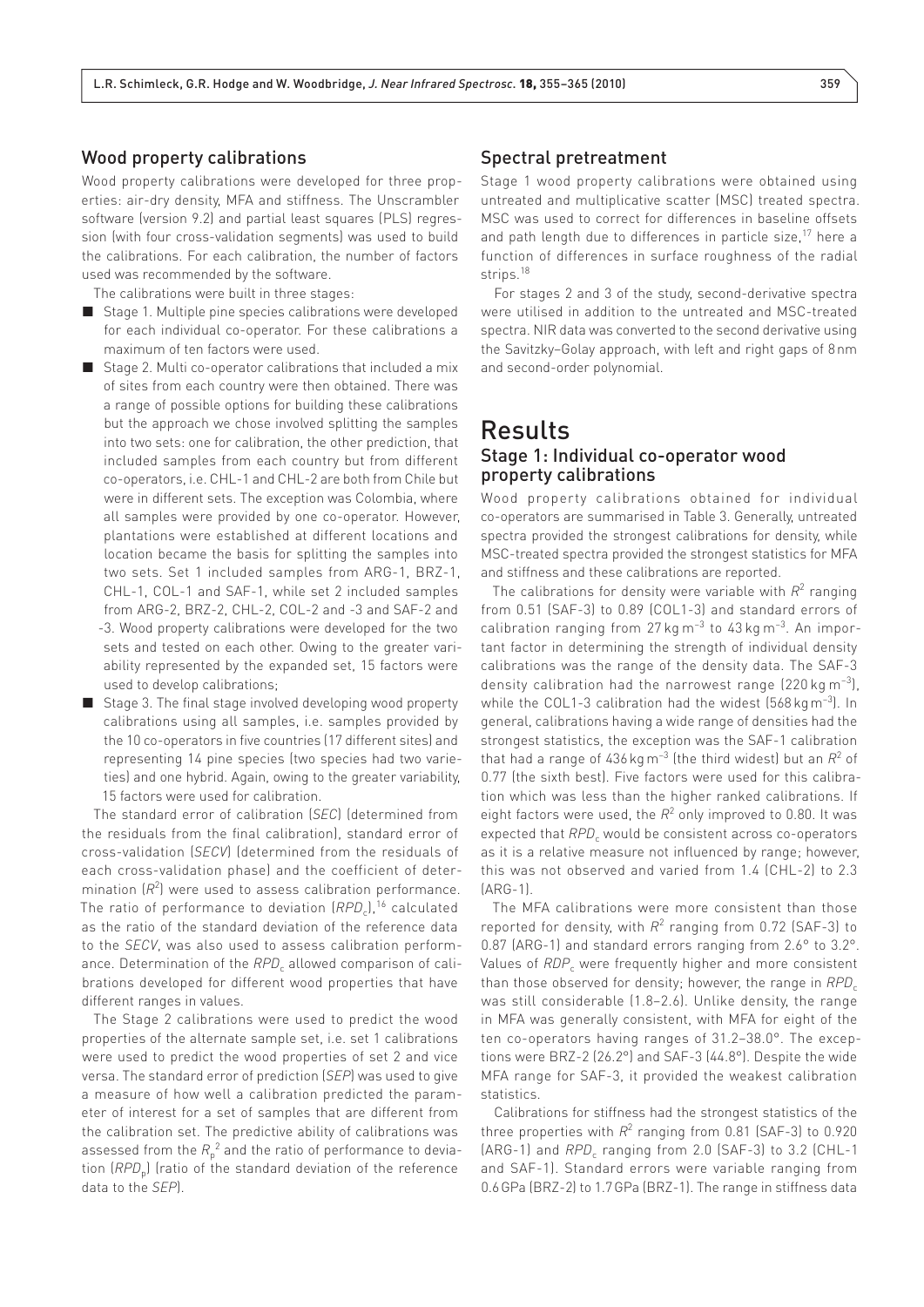### Wood property calibrations

Wood property calibrations were developed for three properties: air-dry density, MFA and stiffness. The Unscrambler software (version 9.2) and partial least squares (PLS) regression (with four cross-validation segments) was used to build the calibrations. For each calibration, the number of factors used was recommended by the software.

The calibrations were built in three stages:

- Stage 1. Multiple pine species calibrations were developed for each individual co-operator. For these calibrations a maximum of ten factors were used.
- Stage 2. Multi co-operator calibrations that included a mix of sites from each country were then obtained. There was a range of possible options for building these calibrations but the approach we chose involved splitting the samples into two sets: one for calibration, the other prediction, that included samples from each country but from different co-operators, i.e. CHL-1 and CHL-2 are both from Chile but were in different sets. The exception was Colombia, where all samples were provided by one co-operator. However, plantations were established at different locations and location became the basis for splitting the samples into two sets. Set 1 included samples from ARG-1, BRZ-1, CHL-1, COL-1 and SAF-1, while set 2 included samples from ARG-2, BRZ-2, CHL-2, COL-2 and -3 and SAF-2 and -3. Wood property calibrations were developed for the two sets and tested on each other. Owing to the greater variability represented by the expanded set, 15 factors were used to develop calibrations;

■ Stage 3. The final stage involved developing wood property calibrations using all samples, i.e. samples provided by the 10 co-operators in five countries (17 different sites) and representing 14 pine species (two species had two varieties) and one hybrid. Again, owing to the greater variability, 15 factors were used for calibration.

The standard error of calibration (*SEC*) (determined from the residuals from the final calibration), standard error of cross-validation (*SECV*) (determined from the residuals of each cross-validation phase) and the coefficient of determination  $(R^2)$  were used to assess calibration performance. The ratio of performance to deviation (RPD<sub>c</sub>),<sup>16</sup> calculated as the ratio of the standard deviation of the reference data to the *SECV*, was also used to assess calibration performance. Determination of the *RPD*<sub>c</sub> allowed comparison of calibrations developed for different wood properties that have different ranges in values.

The Stage 2 calibrations were used to predict the wood properties of the alternate sample set, i.e. set 1 calibrations were used to predict the wood properties of set 2 and vice versa. The standard error of prediction (*SEP*) was used to give a measure of how well a calibration predicted the parameter of interest for a set of samples that are different from the calibration set. The predictive ability of calibrations was assessed from the  $R_\text{\tiny{p}}^{\text{\tiny{2}}}$  and the ratio of performance to deviation (*RPD*<sub>a</sub>) (ratio of the standard deviation of the reference data to the *SEP*).

### Spectral pretreatment

Stage 1 wood property calibrations were obtained using untreated and multiplicative scatter (MSC) treated spectra. MSC was used to correct for differences in baseline offsets and path length due to differences in particle size,<sup>17</sup> here a function of differences in surface roughness of the radial strips.<sup>18</sup>

For stages 2 and 3 of the study, second-derivative spectra were utilised in addition to the untreated and MSC-treated spectra. NIR data was converted to the second derivative using the Savitzky–Golay approach, with left and right gaps of 8nm and second-order polynomial.

### Results

### Stage 1: Individual co-operator wood property calibrations

Wood property calibrations obtained for individual co-operators are summarised in Table 3. Generally, untreated spectra provided the strongest calibrations for density, while MSC-treated spectra provided the strongest statistics for MFA and stiffness and these calibrations are reported.

The calibrations for density were variable with  $R^2$  ranging from 0.51 (SAF-3) to 0.89 (COL1-3) and standard errors of calibration ranging from  $27 \text{ kg m}^{-3}$  to  $43 \text{ kg m}^{-3}$ . An important factor in determining the strength of individual density calibrations was the range of the density data. The SAF-3 density calibration had the narrowest range (220 kg m−3), while the COL1-3 calibration had the widest (568 kgm<sup>-3</sup>). In general, calibrations having a wide range of densities had the strongest statistics, the exception was the SAF-1 calibration that had a range of  $436 \text{ kg m}^{-3}$  (the third widest) but an  $R^2$  of 0.77 (the sixth best). Five factors were used for this calibration which was less than the higher ranked calibrations. If eight factors were used, the  $R^2$  only improved to 0.80. It was expected that *RPD*<sub>c</sub> would be consistent across co-operators as it is a relative measure not influenced by range; however, this was not observed and varied from 1.4 (CHL-2) to 2.3  $[ARG-1]$ 

The MFA calibrations were more consistent than those reported for density, with  $R^2$  ranging from 0.72 (SAF-3) to 0.87 (ARG-1) and standard errors ranging from 2.6° to 3.2°. Values of *RDP<sub>c</sub>* were frequently higher and more consistent than those observed for density; however, the range in *RPD*<sub>c</sub> was still considerable (1.8–2.6). Unlike density, the range in MFA was generally consistent, with MFA for eight of the ten co-operators having ranges of 31.2–38.0°. The exceptions were BRZ-2 (26.2°) and SAF-3 (44.8°). Despite the wide MFA range for SAF-3, it provided the weakest calibration statistics.

Calibrations for stiffness had the strongest statistics of the three properties with  $R^2$  ranging from 0.81 (SAF-3) to 0.920 (ARG-1) and *RPD*<sub>c</sub> ranging from 2.0 (SAF-3) to 3.2 (CHL-1) and SAF-1). Standard errors were variable ranging from 0.6GPa (BRZ-2) to 1.7GPa (BRZ-1). The range in stiffness data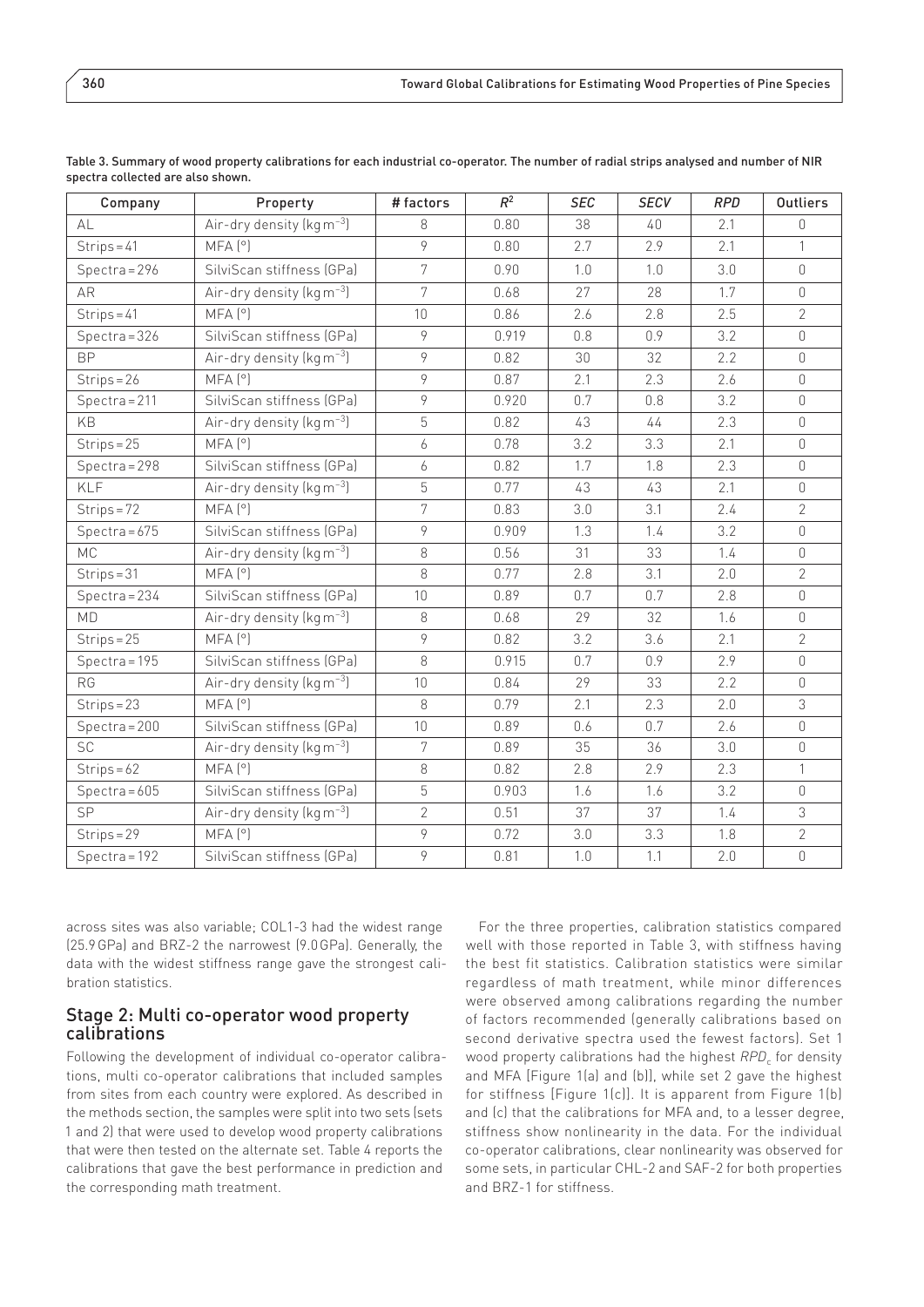| Company         | Property                                                | # factors      | $R^2$ | <b>SEC</b> | <b>SECV</b> | <b>RPD</b> | <b>Outliers</b> |
|-----------------|---------------------------------------------------------|----------------|-------|------------|-------------|------------|-----------------|
| AL              | Air-dry density (kgm <sup>-3</sup> )                    | 8              | 0.80  | 38         | 40          | 2.1        | 0               |
| $String = 41$   | $MFA$ <sup>[°]</sup>                                    | 9              | 0.80  | 2.7        | 2.9         | 2.1        | $\mathbf{1}$    |
| $Spectra = 296$ | SilviScan stiffness (GPa)                               | 7              | 0.90  | 1.0        | 1.0         | 3.0        | $\Omega$        |
| AR              | Air-dry density $\left[\text{kg}\,\text{m}^{-3}\right]$ | 7              | 0.68  | 27         | 28          | 1.7        | $\Omega$        |
| $String = 41$   | $MFA$ <sup>[°]</sup>                                    | 10             | 0.86  | 2.6        | 2.8         | 2.5        | $\overline{2}$  |
| $Spectra = 326$ | SilviScan stiffness (GPa)                               | 9              | 0.919 | 0.8        | 0.9         | 3.2        | $\overline{0}$  |
| <b>BP</b>       | Air-dry density $\left[\text{kg}\,\text{m}^{-3}\right]$ | 9              | 0.82  | 30         | 32          | 2.2        | $\Omega$        |
| $String = 26$   | MFA (°)                                                 | 9              | 0.87  | 2.1        | 2.3         | 2.6        | $\overline{0}$  |
| $Spectra = 211$ | SilviScan stiffness [GPa]                               | 9              | 0.920 | 0.7        | 0.8         | 3.2        | $\overline{0}$  |
| <b>KB</b>       | Air-dry density $\left[\text{kg}\,\text{m}^{-3}\right]$ | 5              | 0.82  | 43         | 44          | 2.3        | $\Omega$        |
| $String = 25$   | MFA (°)                                                 | 6              | 0.78  | 3.2        | 3.3         | 2.1        | $\Omega$        |
| $Spectra = 298$ | SilviScan stiffness [GPa]                               | 6              | 0.82  | 1.7        | 1.8         | 2.3        | $\Omega$        |
| <b>KLF</b>      | Air-dry density $\left[\text{kg}\,\text{m}^{-3}\right]$ | 5              | 0.77  | 43         | 43          | 2.1        | $\Omega$        |
| $String = 72$   | MFA (°)                                                 | 7              | 0.83  | 3.0        | 3.1         | 2.4        | $\overline{2}$  |
| Spectra= $675$  | SilviScan stiffness (GPa)                               | 9              | 0.909 | 1.3        | 1.4         | 3.2        | $\Omega$        |
| <b>MC</b>       | Air-dry density (kgm <sup>-3</sup> )                    | 8              | 0.56  | 31         | 33          | 1.4        | $\overline{0}$  |
| $String = 31$   | $MFA$ <sup>[°]</sup>                                    | 8              | 0.77  | 2.8        | 3.1         | 2.0        | $\overline{2}$  |
| $Spectra = 234$ | SilviScan stiffness [GPa]                               | 10             | 0.89  | 0.7        | 0.7         | 2.8        | $\Omega$        |
| <b>MD</b>       | Air-dry density $\left[\text{kg}\,\text{m}^{-3}\right]$ | 8              | 0.68  | 29         | 32          | 1.6        | $\mathbb O$     |
| $String = 25$   | $MFA$ <sup>[°]</sup>                                    | 9              | 0.82  | 3.2        | 3.6         | 2.1        | $\overline{2}$  |
| $Spectra = 195$ | SilviScan stiffness (GPa)                               | 8              | 0.915 | 0.7        | 0.9         | 2.9        | $\Omega$        |
| <b>RG</b>       | Air-dry density $\left[\text{kg}\,\text{m}^{-3}\right]$ | 10             | 0.84  | 29         | 33          | 2.2        | $\Omega$        |
| $String = 23$   | $MFA$ <sup>[°]</sup>                                    | 8              | 0.79  | 2.1        | 2.3         | 2.0        | 3               |
| $Spectra = 200$ | SilviScan stiffness (GPa)                               | 10             | 0.89  | 0.6        | 0.7         | 2.6        | $\overline{0}$  |
| SC              | Air-dry density $\left[\text{kg}\,\text{m}^{-3}\right]$ | 7              | 0.89  | 35         | 36          | 3.0        | $\mathbb O$     |
| $String = 62$   | MFA (°)                                                 | 8              | 0.82  | 2.8        | 2.9         | 2.3        | $\mathbf{1}$    |
| $Spectra = 605$ | SilviScan stiffness (GPa)                               | 5              | 0.903 | 1.6        | 1.6         | 3.2        | $\Omega$        |
| SP              | Air-dry density $\left[\text{kg}\,\text{m}^{-3}\right]$ | $\overline{2}$ | 0.51  | 37         | 37          | 1.4        | 3               |
| $String = 29$   | $MFA$ <sup>[°]</sup>                                    | 9              | 0.72  | 3.0        | 3.3         | 1.8        | $\overline{2}$  |
| $Spectra = 192$ | SilviScan stiffness (GPa)                               | 9              | 0.81  | 1.0        | 1.1         | 2.0        | $\mathbb O$     |

Table 3. Summary of wood property calibrations for each industrial co-operator. The number of radial strips analysed and number of NIR spectra collected are also shown.

across sites was also variable; COL1-3 had the widest range (25.9GPa) and BRZ-2 the narrowest (9.0GPa). Generally, the data with the widest stiffness range gave the strongest calibration statistics.

### Stage 2: Multi co-operator wood property calibrations

Following the development of individual co-operator calibrations, multi co-operator calibrations that included samples from sites from each country were explored. As described in the methods section, the samples were split into two sets (sets 1 and 2) that were used to develop wood property calibrations that were then tested on the alternate set. Table 4 reports the calibrations that gave the best performance in prediction and the corresponding math treatment.

For the three properties, calibration statistics compared well with those reported in Table 3, with stiffness having the best fit statistics. Calibration statistics were similar regardless of math treatment, while minor differences were observed among calibrations regarding the number of factors recommended (generally calibrations based on second derivative spectra used the fewest factors). Set 1 wood property calibrations had the highest *RPD<sub>c</sub>* for density and MFA [Figure 1(a) and (b)], while set 2 gave the highest for stiffness [Figure 1(c)]. It is apparent from Figure 1(b) and (c) that the calibrations for MFA and, to a lesser degree, stiffness show nonlinearity in the data. For the individual co-operator calibrations, clear nonlinearity was observed for some sets, in particular CHL-2 and SAF-2 for both properties and BRZ-1 for stiffness.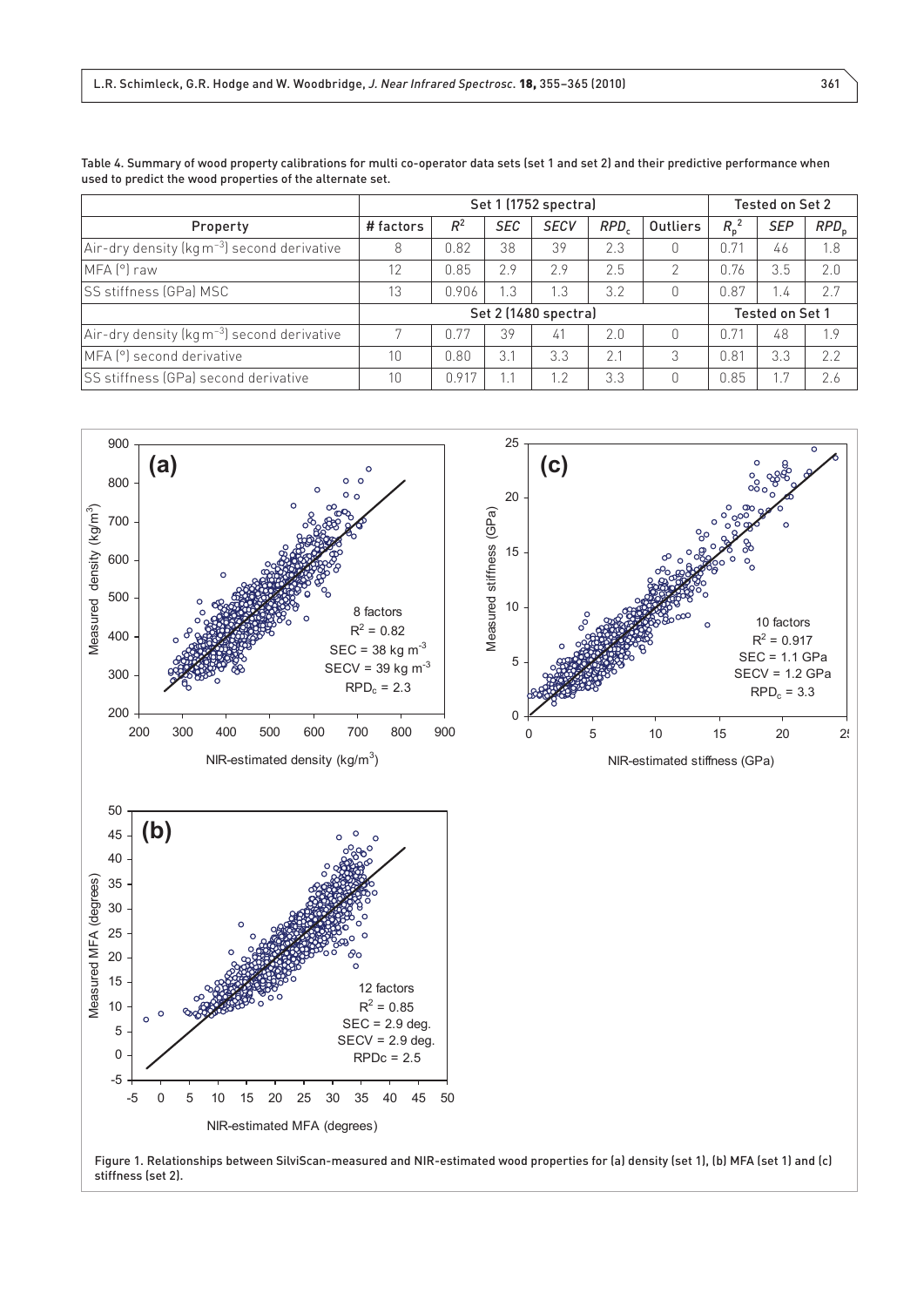|                                                         |           |       |            | Set 1 (1752 spectra) |         |          |         | <b>Tested on Set 2</b> |         |
|---------------------------------------------------------|-----------|-------|------------|----------------------|---------|----------|---------|------------------------|---------|
| Property                                                | # factors | $R^2$ | <b>SEC</b> | <b>SECV</b>          | $RPD_c$ | Outliers | $R_n^2$ | <b>SEP</b>             | $RPD_n$ |
| Air-dry density (kg m <sup>-3</sup> ) second derivative | 8         | 0.82  | 38         | 39                   | 2.3     |          | 0.71    | 46                     | 1.8     |
| MFA (°) raw                                             | 12        | 0.85  | 2.9        | 2.9                  | 2.5     |          | 0.76    | 3.5                    | 2.0     |
| SS stiffness (GPa) MSC                                  | 13        | 0.906 | 1.3        | $\overline{1.3}$     | 3.2     | $\Omega$ | 0.87    |                        | 2.7     |
|                                                         |           |       |            | Set 2 (1480 spectra) |         |          |         | Tested on Set 1        |         |
| Air-dry density (kg m <sup>-3</sup> ) second derivative |           | 0.77  | 39         | 41                   | 2.0     |          | 0.71    | 48                     | 1.9     |
| MFA (°) second derivative                               | 10        | 0.80  | 3.1        | 3.3                  | 2.1     |          | 0.81    | 3.3                    | 2.2     |
| SS stiffness (GPa) second derivative                    | 10        | 0.917 |            | $.2\,$               | 3.3     | 0        | 0.85    | $\overline{a}$         | 2.6     |

900 25 **(c) (a)**  $\overline{c}$ 800 20 <u>ົ</u> Measured stiffness (GPa) Measured stiffness (GPa) Measured density (kg/m<sup>3</sup> 700 15 600 500 10 8 factors 10 factors  $R^2 = 0.82$ 400  $R^2 = 0.917$  $SEC = 38 kg m<sup>-3</sup>$ SEC = 1.1 GPa 5 SECV =  $39$  kg m<sup>-3</sup> SECV = 1.2 GPa 300  $RPD_c = 2.3$  $RPD<sub>c</sub> = 3.3$ 200 0 200 300 400 500 600 700 800 900 0 5 10 15 20 25 NIR-estimated stiffness (GPa) NIR-estimated density ( $kg/m<sup>3</sup>$ ) 50 6 **(b)** 45 40 Measured MFA (degrees) Measured MFA (degrees) 35 30 25 20 80  $\epsilon$ 15 12 factors 10  $R^2 = 0.85$ SEC = 2.9 deg. 5  $SECV = 2.9$  deg. 0  $RPDC = 2.5$ -5 -5 0 5 10 15 20 25 30 35 40 45 50 NIR-estimated MFA (degrees) Figure 1. Relationships between SilviScan-measured and NIR-estimated wood properties for (a) density (set 1), (b) MFA (set 1) and (c) stiffness (set 2).

| Table 4. Summary of wood property calibrations for multi co-operator data sets (set 1 and set 2) and their predictive performance when |  |
|----------------------------------------------------------------------------------------------------------------------------------------|--|
| used to predict the wood properties of the alternate set.                                                                              |  |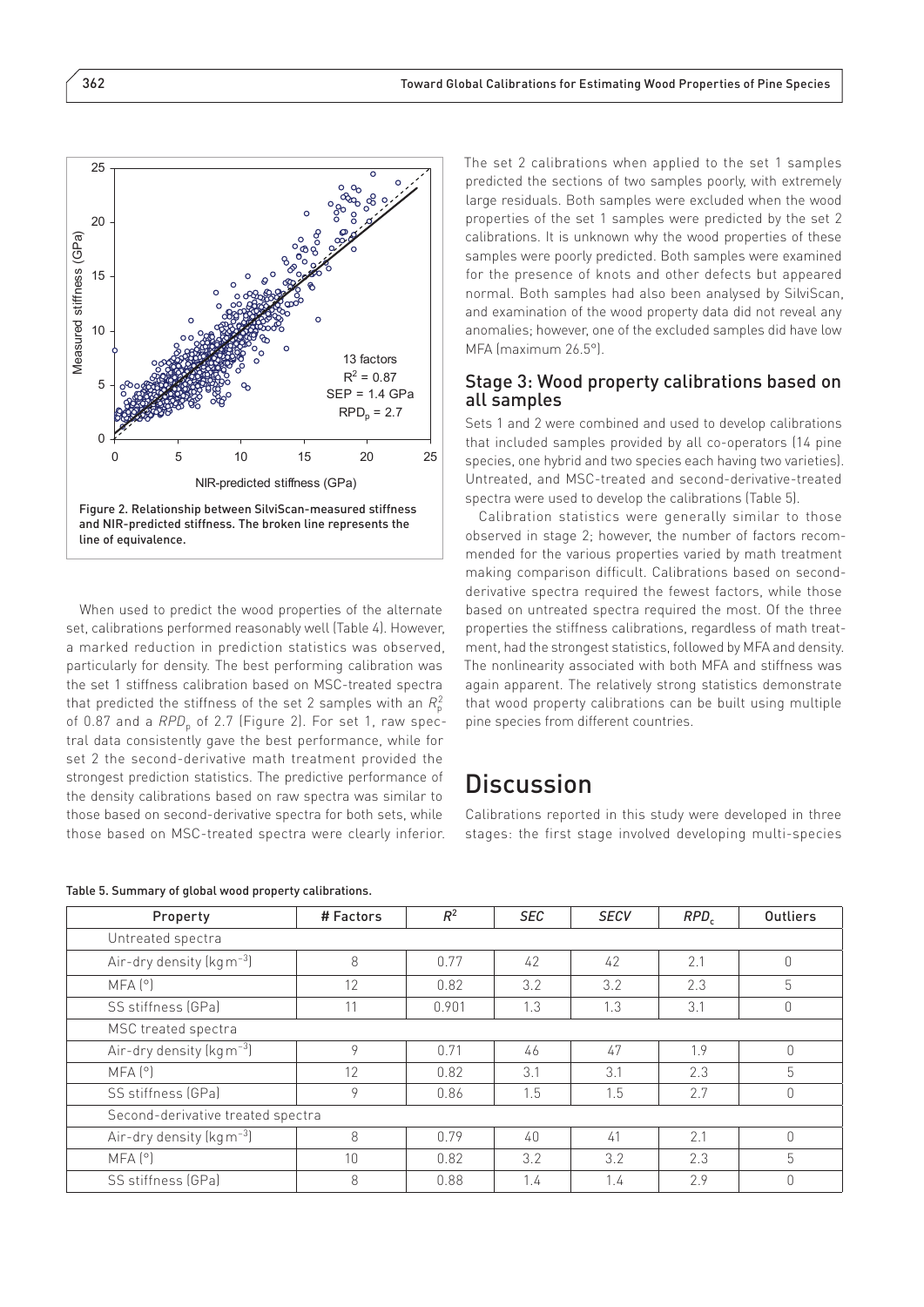

2 Toward global calibrations for estimating the wood properties of tropical, sub-tropical and

When used to predict the wood properties of the alternate set, calibrations performed reasonably well (Table 4). However, a marked reduction in prediction statistics was observed, particularly for density. The best performing calibration was the set 1 stiffness calibration based on MSC-treated spectra that predicted the stiffness of the set 2 samples with an  $R^2_\text{p}$ of 0.87 and a *RPD*<sub>n</sub> of 2.7 (Figure 2). For set 1, raw spectral data consistently gave the best performance, while for set 2 the second-derivative math treatment provided the strongest prediction statistics. The predictive performance of the density calibrations based on raw spectra was similar to those based on second-derivative spectra for both sets, while those based on MSC-treated spectra were clearly inferior.

#### Table 5. Summary of global wood property calibrations.

The set 2 calibrations when applied to the set 1 samples predicted the sections of two samples poorly, with extremely large residuals. Both samples were excluded when the wood properties of the set 1 samples were predicted by the set 2 calibrations. It is unknown why the wood properties of these samples were poorly predicted. Both samples were examined for the presence of knots and other defects but appeared normal. Both samples had also been analysed by SilviScan, and examination of the wood property data did not reveal any anomalies; however, one of the excluded samples did have low MFA (maximum 26.5°).

### Stage 3: Wood property calibrations based on all samples

Sets 1 and 2 were combined and used to develop calibrations that included samples provided by all co-operators (14 pine species, one hybrid and two species each having two varieties). Untreated, and MSC-treated and second-derivative-treated spectra were used to develop the calibrations (Table 5).

Calibration statistics were generally similar to those observed in stage 2; however, the number of factors recommended for the various properties varied by math treatment making comparison difficult. Calibrations based on secondderivative spectra required the fewest factors, while those based on untreated spectra required the most. Of the three properties the stiffness calibrations, regardless of math treatment, had the strongest statistics, followed by MFA and density. The nonlinearity associated with both MFA and stiffness was again apparent. The relatively strong statistics demonstrate that wood property calibrations can be built using multiple pine species from different countries.

### **Discussion**

Calibrations reported in this study were developed in three stages: the first stage involved developing multi-species

| Property                                        | # Factors | $R^2$ | <b>SEC</b> | <b>SECV</b> | $RPD_c$ | <b>Outliers</b> |  |  |  |  |
|-------------------------------------------------|-----------|-------|------------|-------------|---------|-----------------|--|--|--|--|
| Untreated spectra                               |           |       |            |             |         |                 |  |  |  |  |
| Air-dry density $\left[\text{kg m}^{-3}\right]$ | 8         | 0.77  | 42         | 42          | 2.1     | $\theta$        |  |  |  |  |
| $MFA$ <sup>(<math>\circ</math></sup> )          | 12        | 0.82  | 3.2        | 3.2         | 2.3     | 5               |  |  |  |  |
| SS stiffness (GPa)                              | 11        | 0.901 | 1.3        | 1.3         | 3.1     | $\Omega$        |  |  |  |  |
| MSC treated spectra                             |           |       |            |             |         |                 |  |  |  |  |
| Air-dry density $\left[\text{kg m}^{-3}\right]$ | O         | 0.71  | 46         | 47          | 1.9     | $\Omega$        |  |  |  |  |
| $MFA$ <sup>(<math>\circ</math></sup> )          | 12        | 0.82  | 3.1        | 3.1         | 2.3     | 5               |  |  |  |  |
| SS stiffness (GPa)                              | 9         | 0.86  | 1.5        | 1.5         | 2.7     | $\Omega$        |  |  |  |  |
| Second-derivative treated spectra               |           |       |            |             |         |                 |  |  |  |  |
| Air-dry density $\left[\text{kg m}^{-3}\right]$ | 8         | 0.79  | 40         | 41          | 2.1     | $\Omega$        |  |  |  |  |
| $MFA$ <sup>(<math>\circ</math></sup> )          | 10        | 0.82  | 3.2        | 3.2         | 2.3     | 5               |  |  |  |  |
| SS stiffness (GPa)                              | 8         | 0.88  | 1.4        | 1.4         | 2.9     | 0               |  |  |  |  |

4 L.R. Schimleck, G.R. Schweizer, G.R. Hodge and W. Woodbridge and W. Woodbridge and W. Woodbridge and W. Wood<br>1970 – John Sterling, G.R. Schweizer, G.R. Hodge and W. Woodbridge and W. Woodbridge and W. Woodbridge and W.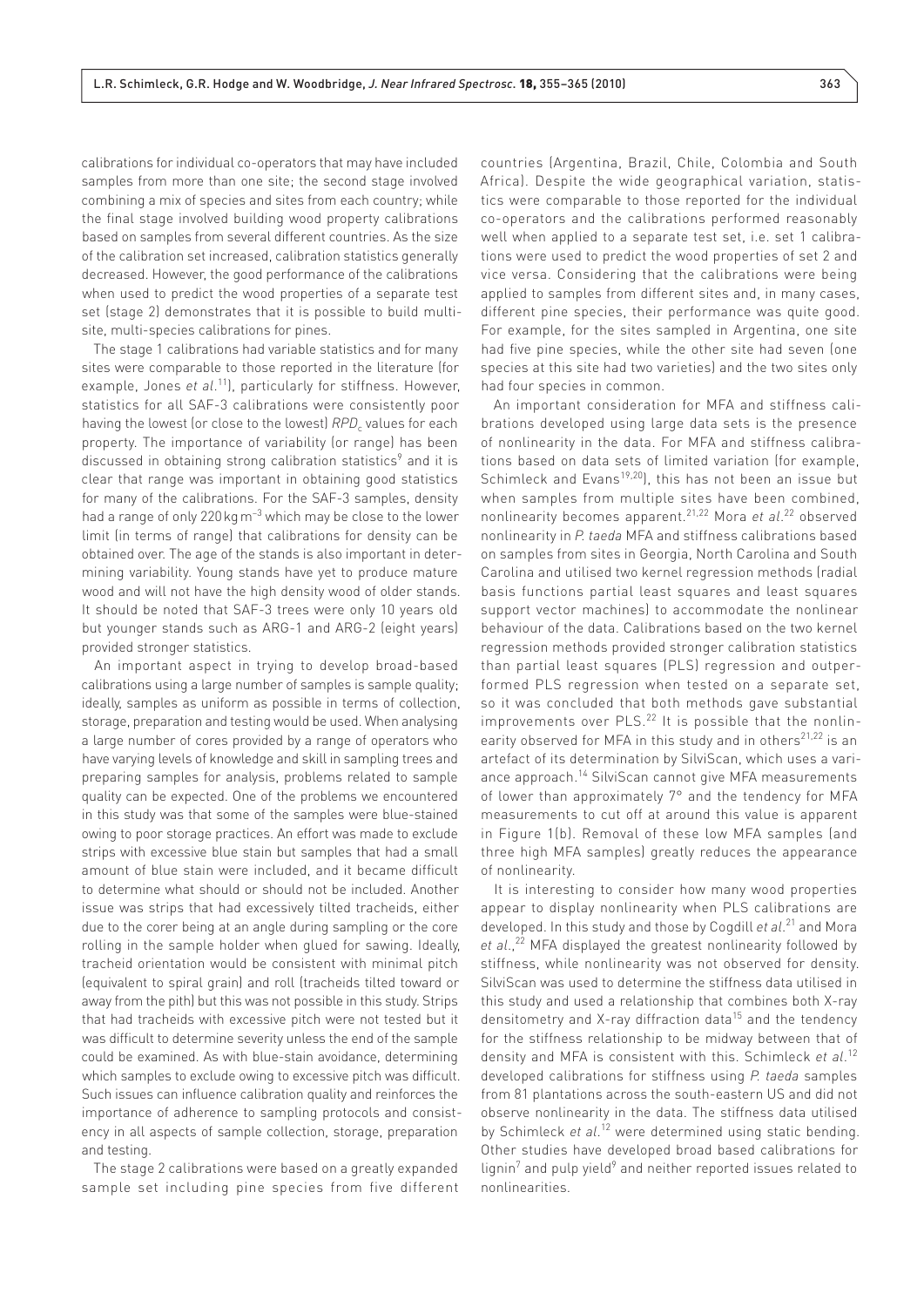calibrations for individual co-operators that may have included samples from more than one site; the second stage involved combining a mix of species and sites from each country; while the final stage involved building wood property calibrations based on samples from several different countries. As the size of the calibration set increased, calibration statistics generally decreased. However, the good performance of the calibrations when used to predict the wood properties of a separate test set (stage 2) demonstrates that it is possible to build multisite, multi-species calibrations for pines.

The stage 1 calibrations had variable statistics and for many sites were comparable to those reported in the literature (for example, Jones et al.<sup>11</sup>), particularly for stiffness. However, statistics for all SAF-3 calibrations were consistently poor having the lowest (or close to the lowest) *RPD*<sub>c</sub> values for each property. The importance of variability (or range) has been discussed in obtaining strong calibration statistics<sup>9</sup> and it is clear that range was important in obtaining good statistics for many of the calibrations. For the SAF-3 samples, density had a range of only 220kgm−3 which may be close to the lower limit (in terms of range) that calibrations for density can be obtained over. The age of the stands is also important in determining variability. Young stands have yet to produce mature wood and will not have the high density wood of older stands. It should be noted that SAF-3 trees were only 10 years old but younger stands such as ARG-1 and ARG-2 (eight years) provided stronger statistics.

An important aspect in trying to develop broad-based calibrations using a large number of samples is sample quality; ideally, samples as uniform as possible in terms of collection, storage, preparation and testing would be used. When analysing a large number of cores provided by a range of operators who have varying levels of knowledge and skill in sampling trees and preparing samples for analysis, problems related to sample quality can be expected. One of the problems we encountered in this study was that some of the samples were blue-stained owing to poor storage practices. An effort was made to exclude strips with excessive blue stain but samples that had a small amount of blue stain were included, and it became difficult to determine what should or should not be included. Another issue was strips that had excessively tilted tracheids, either due to the corer being at an angle during sampling or the core rolling in the sample holder when glued for sawing. Ideally, tracheid orientation would be consistent with minimal pitch (equivalent to spiral grain) and roll (tracheids tilted toward or away from the pith) but this was not possible in this study. Strips that had tracheids with excessive pitch were not tested but it was difficult to determine severity unless the end of the sample could be examined. As with blue-stain avoidance, determining which samples to exclude owing to excessive pitch was difficult. Such issues can influence calibration quality and reinforces the importance of adherence to sampling protocols and consistency in all aspects of sample collection, storage, preparation and testing.

The stage 2 calibrations were based on a greatly expanded sample set including pine species from five different

countries (Argentina, Brazil, Chile, Colombia and South Africa). Despite the wide geographical variation, statistics were comparable to those reported for the individual co-operators and the calibrations performed reasonably well when applied to a separate test set, i.e. set 1 calibrations were used to predict the wood properties of set 2 and vice versa. Considering that the calibrations were being applied to samples from different sites and, in many cases, different pine species, their performance was quite good. For example, for the sites sampled in Argentina, one site had five pine species, while the other site had seven (one species at this site had two varieties) and the two sites only had four species in common.

An important consideration for MFA and stiffness calibrations developed using large data sets is the presence of nonlinearity in the data. For MFA and stiffness calibrations based on data sets of limited variation (for example, Schimleck and Evans<sup>19,20</sup>), this has not been an issue but when samples from multiple sites have been combined, nonlinearity becomes apparent.21,22 Mora *et al*. 22 observed nonlinearity in *P. taeda* MFA and stiffness calibrations based on samples from sites in Georgia, North Carolina and South Carolina and utilised two kernel regression methods (radial basis functions partial least squares and least squares support vector machines) to accommodate the nonlinear behaviour of the data. Calibrations based on the two kernel regression methods provided stronger calibration statistics than partial least squares (PLS) regression and outperformed PLS regression when tested on a separate set, so it was concluded that both methods gave substantial improvements over PLS.<sup>22</sup> It is possible that the nonlinearity observed for MFA in this study and in others<sup>21,22</sup> is an artefact of its determination by SilviScan, which uses a variance approach.<sup>14</sup> SilviScan cannot give MFA measurements of lower than approximately 7° and the tendency for MFA measurements to cut off at around this value is apparent in Figure 1(b). Removal of these low MFA samples (and three high MFA samples) greatly reduces the appearance of nonlinearity.

It is interesting to consider how many wood properties appear to display nonlinearity when PLS calibrations are developed. In this study and those by Cogdill *et al*. 21 and Mora et al.,<sup>22</sup> MFA displayed the greatest nonlinearity followed by stiffness, while nonlinearity was not observed for density. SilviScan was used to determine the stiffness data utilised in this study and used a relationship that combines both X-ray densitometry and X-ray diffraction data<sup>15</sup> and the tendency for the stiffness relationship to be midway between that of density and MFA is consistent with this. Schimleck *et al*. 12 developed calibrations for stiffness using *P. taeda* samples from 81 plantations across the south-eastern US and did not observe nonlinearity in the data. The stiffness data utilised by Schimleck *et al*. 12 were determined using static bending. Other studies have developed broad based calibrations for lignin<sup>7</sup> and pulp yield<sup>9</sup> and neither reported issues related to nonlinearities.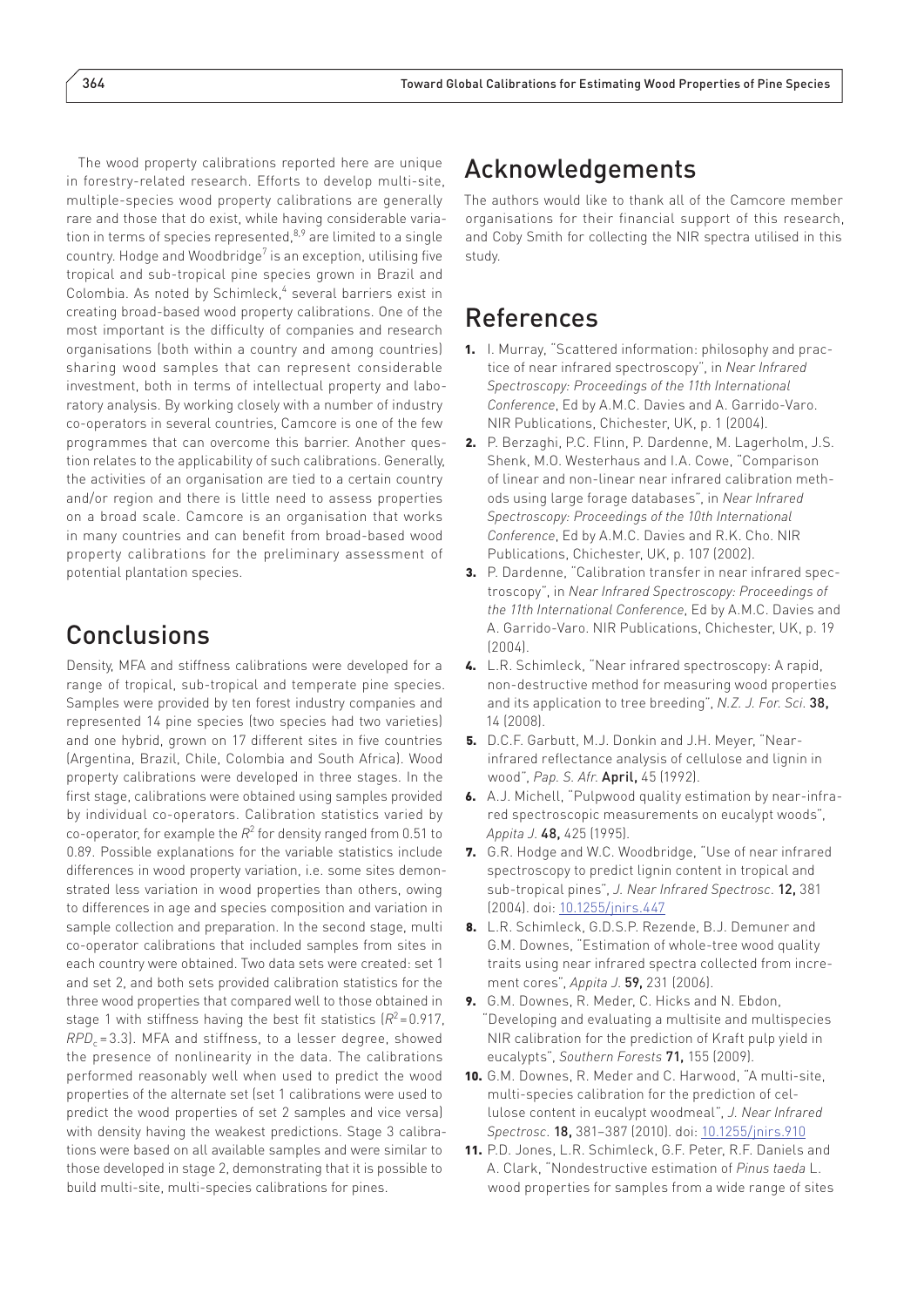The wood property calibrations reported here are unique in forestry-related research. Efforts to develop multi-site, multiple-species wood property calibrations are generally rare and those that do exist, while having considerable variation in terms of species represented, $8,9$  are limited to a single country. Hodge and Woodbridge<sup>7</sup> is an exception, utilising five tropical and sub-tropical pine species grown in Brazil and Colombia. As noted by Schimleck,<sup>4</sup> several barriers exist in creating broad-based wood property calibrations. One of the most important is the difficulty of companies and research organisations (both within a country and among countries) sharing wood samples that can represent considerable investment, both in terms of intellectual property and laboratory analysis. By working closely with a number of industry co-operators in several countries, Camcore is one of the few programmes that can overcome this barrier. Another question relates to the applicability of such calibrations. Generally, the activities of an organisation are tied to a certain country and/or region and there is little need to assess properties on a broad scale. Camcore is an organisation that works in many countries and can benefit from broad-based wood property calibrations for the preliminary assessment of potential plantation species.

# Conclusions

Density, MFA and stiffness calibrations were developed for a range of tropical, sub-tropical and temperate pine species. Samples were provided by ten forest industry companies and represented 14 pine species (two species had two varieties) and one hybrid, grown on 17 different sites in five countries (Argentina, Brazil, Chile, Colombia and South Africa). Wood property calibrations were developed in three stages. In the first stage, calibrations were obtained using samples provided by individual co-operators. Calibration statistics varied by co-operator, for example the  $R^2$  for density ranged from 0.51 to 0.89. Possible explanations for the variable statistics include differences in wood property variation, i.e. some sites demonstrated less variation in wood properties than others, owing to differences in age and species composition and variation in sample collection and preparation. In the second stage, multi co-operator calibrations that included samples from sites in each country were obtained. Two data sets were created: set 1 and set 2, and both sets provided calibration statistics for the three wood properties that compared well to those obtained in stage 1 with stiffness having the best fit statistics  $(R^2 = 0.917)$ . *RPD<sub>c</sub>*=3.3). MFA and stiffness, to a lesser degree, showed the presence of nonlinearity in the data. The calibrations performed reasonably well when used to predict the wood properties of the alternate set (set 1 calibrations were used to predict the wood properties of set 2 samples and vice versa) with density having the weakest predictions. Stage 3 calibrations were based on all available samples and were similar to those developed in stage 2, demonstrating that it is possible to build multi-site, multi-species calibrations for pines.

# Acknowledgements

The authors would like to thank all of the Camcore member organisations for their financial support of this research, and Coby Smith for collecting the NIR spectra utilised in this study.

## References

- 1. I. Murray, "Scattered information: philosophy and practice of near infrared spectroscopy", in *Near Infrared Spectroscopy: Proceedings of the 11th International Conference*, Ed by A.M.C. Davies and A. Garrido-Varo. NIR Publications, Chichester, UK, p. 1 (2004).
- 2. P. Berzaghi, P.C. Flinn, P. Dardenne, M. Lagerholm, J.S. Shenk, M.O. Westerhaus and I.A. Cowe, "Comparison of linear and non-linear near infrared calibration methods using large forage databases", in *Near Infrared Spectroscopy: Proceedings of the 10th International Conference*, Ed by A.M.C. Davies and R.K. Cho. NIR Publications, Chichester, UK, p. 107 (2002).
- 3. P. Dardenne, "Calibration transfer in near infrared spectroscopy", in *Near Infrared Spectroscopy: Proceedings of the 11th International Conference*, Ed by A.M.C. Davies and A. Garrido-Varo. NIR Publications, Chichester, UK, p. 19 (2004).
- 4. L.R. Schimleck, "Near infrared spectroscopy: A rapid, non-destructive method for measuring wood properties and its application to tree breeding", *N.Z. J. For. Sci*. 38, 14 (2008).
- 5. D.C.F. Garbutt, M.J. Donkin and J.H. Meyer, "Nearinfrared reflectance analysis of cellulose and lignin in wood", *Pap. S. Afr*. April, 45 (1992).
- 6. A.J. Michell, "Pulpwood quality estimation by near-infrared spectroscopic measurements on eucalypt woods", *Appita J*. 48, 425 (1995).
- 7. G.R. Hodge and W.C. Woodbridge, "Use of near infrared spectroscopy to predict lignin content in tropical and sub-tropical pines", *J. Near Infrared Spectrosc*. 12, 381 (2004). doi: [10.1255/jnirs.447](http://dx.doi.org/10.1255/jnirs.447)
- 8. L.R. Schimleck, G.D.S.P. Rezende, B.J. Demuner and G.M. Downes, "Estimation of whole-tree wood quality traits using near infrared spectra collected from increment cores", *Appita J*. 59, 231 (2006).
- 9. G.M. Downes, R. Meder, C. Hicks and N. Ebdon, "Developing and evaluating a multisite and multispecies NIR calibration for the prediction of Kraft pulp yield in eucalypts", *Southern Forests* 71, 155 (2009).
- 10. G.M. Downes, R. Meder and C. Harwood, "A multi-site, multi-species calibration for the prediction of cellulose content in eucalypt woodmeal", *J. Near Infrared Spectrosc*. 18, 381–387 (2010). doi: [10.1255/jnirs.910](http://dx.doi.org/10.1255/jnirs.910)
- 11. P.D. Jones, L.R. Schimleck, G.F. Peter, R.F. Daniels and A. Clark, "Nondestructive estimation of *Pinus taeda* L. wood properties for samples from a wide range of sites